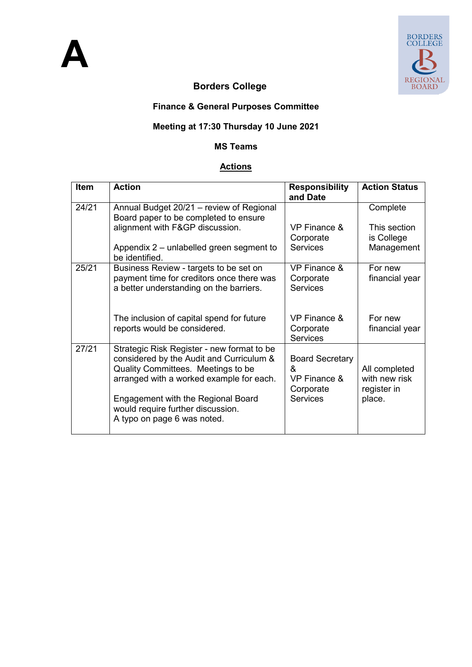

# **Borders College**

## **Finance & General Purposes Committee**

### **Meeting at 17:30 Thursday 10 June 2021**

#### **MS Teams**

#### **Actions**

| Item  | <b>Action</b>                                                                                                                                                                                                                                                                      | <b>Responsibility</b><br>and Date                                                                    | <b>Action Status</b>                                    |
|-------|------------------------------------------------------------------------------------------------------------------------------------------------------------------------------------------------------------------------------------------------------------------------------------|------------------------------------------------------------------------------------------------------|---------------------------------------------------------|
| 24/21 | Annual Budget 20/21 - review of Regional<br>Board paper to be completed to ensure                                                                                                                                                                                                  |                                                                                                      | Complete                                                |
|       | alignment with F&GP discussion.                                                                                                                                                                                                                                                    | $VP$ Finance $\&$<br>Corporate                                                                       | This section<br>is College                              |
|       | Appendix 2 – unlabelled green segment to<br>be identified.                                                                                                                                                                                                                         | <b>Services</b>                                                                                      | Management                                              |
| 25/21 | Business Review - targets to be set on<br>payment time for creditors once there was<br>a better understanding on the barriers.                                                                                                                                                     | VP Finance &<br>Corporate<br>Services                                                                | For new<br>financial year                               |
|       | The inclusion of capital spend for future<br>reports would be considered.                                                                                                                                                                                                          | VP Finance &<br>Corporate<br><b>Services</b>                                                         | For new<br>financial year                               |
| 27/21 | Strategic Risk Register - new format to be<br>considered by the Audit and Curriculum &<br>Quality Committees. Meetings to be<br>arranged with a worked example for each.<br>Engagement with the Regional Board<br>would require further discussion.<br>A typo on page 6 was noted. | <b>Board Secretary</b><br>$\boldsymbol{\mathcal{R}}$<br>VP Finance &<br>Corporate<br><b>Services</b> | All completed<br>with new risk<br>register in<br>place. |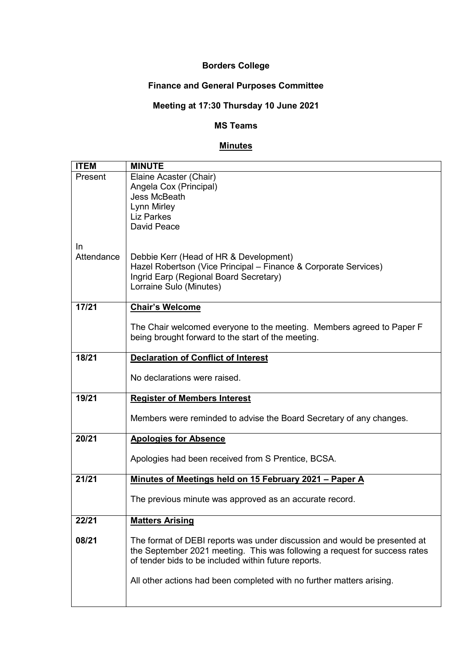#### **Borders College**

### **Finance and General Purposes Committee**

# **Meeting at 17:30 Thursday 10 June 2021**

#### **MS Teams**

### **Minutes**

| <b>ITEM</b> | <b>MINUTE</b>                                                              |
|-------------|----------------------------------------------------------------------------|
| Present     | Elaine Acaster (Chair)                                                     |
|             | Angela Cox (Principal)                                                     |
|             | Jess McBeath                                                               |
|             | Lynn Mirley                                                                |
|             | <b>Liz Parkes</b>                                                          |
|             | David Peace                                                                |
|             |                                                                            |
| In          |                                                                            |
| Attendance  | Debbie Kerr (Head of HR & Development)                                     |
|             | Hazel Robertson (Vice Principal - Finance & Corporate Services)            |
|             | Ingrid Earp (Regional Board Secretary)                                     |
|             | Lorraine Sulo (Minutes)                                                    |
| 17/21       | <b>Chair's Welcome</b>                                                     |
|             |                                                                            |
|             | The Chair welcomed everyone to the meeting. Members agreed to Paper F      |
|             | being brought forward to the start of the meeting.                         |
|             |                                                                            |
| 18/21       | <b>Declaration of Conflict of Interest</b>                                 |
|             |                                                                            |
|             | No declarations were raised.                                               |
|             |                                                                            |
| 19/21       | <b>Register of Members Interest</b>                                        |
|             | Members were reminded to advise the Board Secretary of any changes.        |
|             |                                                                            |
| 20/21       | <b>Apologies for Absence</b>                                               |
|             |                                                                            |
|             | Apologies had been received from S Prentice, BCSA.                         |
|             |                                                                            |
| 21/21       | Minutes of Meetings held on 15 February 2021 - Paper A                     |
|             |                                                                            |
|             | The previous minute was approved as an accurate record.                    |
|             |                                                                            |
| 22/21       | <b>Matters Arising</b>                                                     |
| 08/21       | The format of DEBI reports was under discussion and would be presented at  |
|             | the September 2021 meeting. This was following a request for success rates |
|             | of tender bids to be included within future reports.                       |
|             |                                                                            |
|             | All other actions had been completed with no further matters arising.      |
|             |                                                                            |
|             |                                                                            |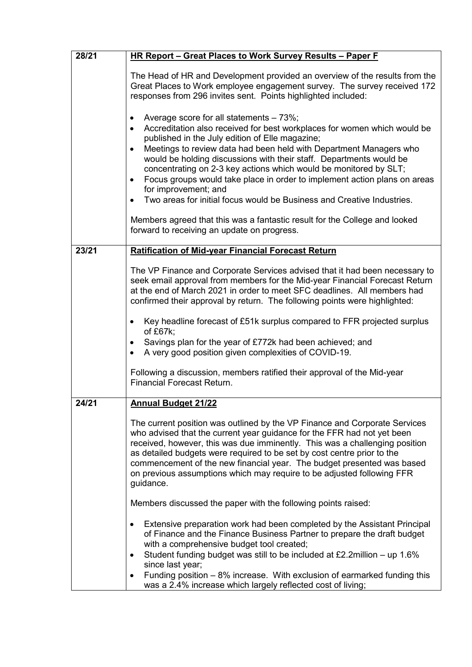| 28/21 | HR Report - Great Places to Work Survey Results - Paper F                                                                                                                                                                                                                                                                                                                                                                                                                                                                                                                                                                                                                                                                                                |  |
|-------|----------------------------------------------------------------------------------------------------------------------------------------------------------------------------------------------------------------------------------------------------------------------------------------------------------------------------------------------------------------------------------------------------------------------------------------------------------------------------------------------------------------------------------------------------------------------------------------------------------------------------------------------------------------------------------------------------------------------------------------------------------|--|
|       | The Head of HR and Development provided an overview of the results from the<br>Great Places to Work employee engagement survey. The survey received 172<br>responses from 296 invites sent. Points highlighted included:                                                                                                                                                                                                                                                                                                                                                                                                                                                                                                                                 |  |
|       | Average score for all statements – 73%;<br>$\bullet$<br>Accreditation also received for best workplaces for women which would be<br>$\bullet$<br>published in the July edition of Elle magazine;<br>Meetings to review data had been held with Department Managers who<br>$\bullet$<br>would be holding discussions with their staff. Departments would be<br>concentrating on 2-3 key actions which would be monitored by SLT;<br>Focus groups would take place in order to implement action plans on areas<br>$\bullet$<br>for improvement; and<br>Two areas for initial focus would be Business and Creative Industries.<br>Members agreed that this was a fantastic result for the College and looked<br>forward to receiving an update on progress. |  |
| 23/21 | Ratification of Mid-year Financial Forecast Return                                                                                                                                                                                                                                                                                                                                                                                                                                                                                                                                                                                                                                                                                                       |  |
|       | The VP Finance and Corporate Services advised that it had been necessary to<br>seek email approval from members for the Mid-year Financial Forecast Return<br>at the end of March 2021 in order to meet SFC deadlines. All members had<br>confirmed their approval by return. The following points were highlighted:                                                                                                                                                                                                                                                                                                                                                                                                                                     |  |
|       | Key headline forecast of £51k surplus compared to FFR projected surplus<br>$\bullet$<br>of £67k;<br>Savings plan for the year of £772k had been achieved; and<br>$\bullet$<br>A very good position given complexities of COVID-19.<br>$\bullet$                                                                                                                                                                                                                                                                                                                                                                                                                                                                                                          |  |
|       | Following a discussion, members ratified their approval of the Mid-year<br><b>Financial Forecast Return.</b>                                                                                                                                                                                                                                                                                                                                                                                                                                                                                                                                                                                                                                             |  |
| 24/21 | <b>Annual Budget 21/22</b>                                                                                                                                                                                                                                                                                                                                                                                                                                                                                                                                                                                                                                                                                                                               |  |
|       | The current position was outlined by the VP Finance and Corporate Services<br>who advised that the current year guidance for the FFR had not yet been<br>received, however, this was due imminently. This was a challenging position<br>as detailed budgets were required to be set by cost centre prior to the<br>commencement of the new financial year. The budget presented was based<br>on previous assumptions which may require to be adjusted following FFR<br>guidance.                                                                                                                                                                                                                                                                         |  |
|       | Members discussed the paper with the following points raised:                                                                                                                                                                                                                                                                                                                                                                                                                                                                                                                                                                                                                                                                                            |  |
|       | Extensive preparation work had been completed by the Assistant Principal<br>٠<br>of Finance and the Finance Business Partner to prepare the draft budget<br>with a comprehensive budget tool created;<br>Student funding budget was still to be included at £2.2million - up 1.6%<br>$\bullet$                                                                                                                                                                                                                                                                                                                                                                                                                                                           |  |
|       | since last year;<br>Funding position – 8% increase. With exclusion of earmarked funding this<br>٠<br>was a 2.4% increase which largely reflected cost of living;                                                                                                                                                                                                                                                                                                                                                                                                                                                                                                                                                                                         |  |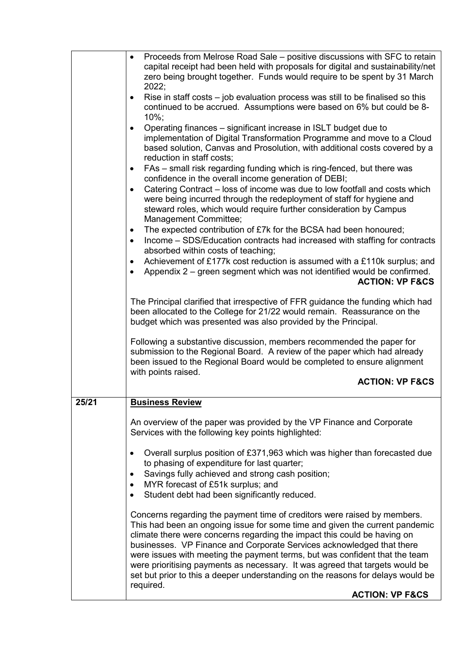|       | Proceeds from Melrose Road Sale - positive discussions with SFC to retain<br>capital receipt had been held with proposals for digital and sustainability/net<br>zero being brought together. Funds would require to be spent by 31 March                                                                                                                                                                                                                                                                                                                                    |
|-------|-----------------------------------------------------------------------------------------------------------------------------------------------------------------------------------------------------------------------------------------------------------------------------------------------------------------------------------------------------------------------------------------------------------------------------------------------------------------------------------------------------------------------------------------------------------------------------|
|       | 2022;<br>Rise in staff costs $-$ job evaluation process was still to be finalised so this<br>٠<br>continued to be accrued. Assumptions were based on 6% but could be 8-<br>10%;                                                                                                                                                                                                                                                                                                                                                                                             |
|       | Operating finances - significant increase in ISLT budget due to<br>implementation of Digital Transformation Programme and move to a Cloud<br>based solution, Canvas and Prosolution, with additional costs covered by a<br>reduction in staff costs;                                                                                                                                                                                                                                                                                                                        |
|       | FAs – small risk regarding funding which is ring-fenced, but there was<br>$\bullet$<br>confidence in the overall income generation of DEBI;                                                                                                                                                                                                                                                                                                                                                                                                                                 |
|       | Catering Contract - loss of income was due to low footfall and costs which<br>$\bullet$<br>were being incurred through the redeployment of staff for hygiene and<br>steward roles, which would require further consideration by Campus<br>Management Committee;                                                                                                                                                                                                                                                                                                             |
|       | The expected contribution of £7k for the BCSA had been honoured;<br>$\bullet$<br>Income - SDS/Education contracts had increased with staffing for contracts<br>$\bullet$<br>absorbed within costs of teaching;                                                                                                                                                                                                                                                                                                                                                              |
|       | Achievement of £177k cost reduction is assumed with a £110k surplus; and<br>$\bullet$<br>Appendix 2 – green segment which was not identified would be confirmed.<br>$\bullet$<br><b>ACTION: VP F&amp;CS</b>                                                                                                                                                                                                                                                                                                                                                                 |
|       | The Principal clarified that irrespective of FFR guidance the funding which had<br>been allocated to the College for 21/22 would remain. Reassurance on the<br>budget which was presented was also provided by the Principal.                                                                                                                                                                                                                                                                                                                                               |
|       | Following a substantive discussion, members recommended the paper for<br>submission to the Regional Board. A review of the paper which had already<br>been issued to the Regional Board would be completed to ensure alignment                                                                                                                                                                                                                                                                                                                                              |
|       | with points raised.<br><b>ACTION: VP F&amp;CS</b>                                                                                                                                                                                                                                                                                                                                                                                                                                                                                                                           |
| 25/21 | <b>Business Review</b>                                                                                                                                                                                                                                                                                                                                                                                                                                                                                                                                                      |
|       | An overview of the paper was provided by the VP Finance and Corporate<br>Services with the following key points highlighted:                                                                                                                                                                                                                                                                                                                                                                                                                                                |
|       | Overall surplus position of £371,963 which was higher than forecasted due<br>٠<br>to phasing of expenditure for last quarter;<br>Savings fully achieved and strong cash position;<br>٠<br>MYR forecast of £51k surplus; and<br>$\bullet$<br>Student debt had been significantly reduced.                                                                                                                                                                                                                                                                                    |
|       | $\bullet$                                                                                                                                                                                                                                                                                                                                                                                                                                                                                                                                                                   |
|       | Concerns regarding the payment time of creditors were raised by members.<br>This had been an ongoing issue for some time and given the current pandemic<br>climate there were concerns regarding the impact this could be having on<br>businesses. VP Finance and Corporate Services acknowledged that there<br>were issues with meeting the payment terms, but was confident that the team<br>were prioritising payments as necessary. It was agreed that targets would be<br>set but prior to this a deeper understanding on the reasons for delays would be<br>required. |
|       | <b>ACTION: VP F&amp;CS</b>                                                                                                                                                                                                                                                                                                                                                                                                                                                                                                                                                  |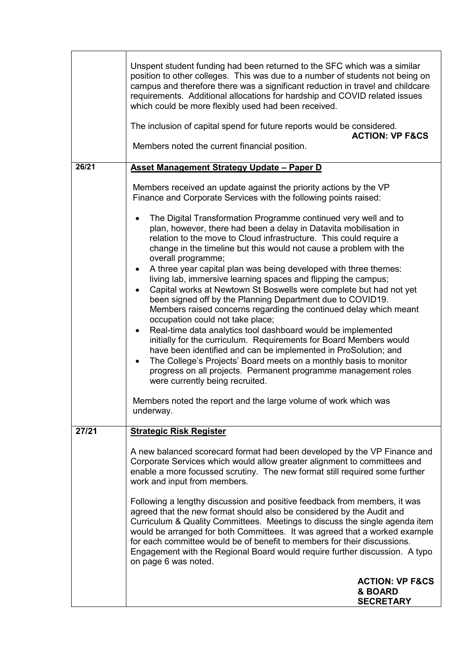|       | Unspent student funding had been returned to the SFC which was a similar<br>position to other colleges. This was due to a number of students not being on<br>campus and therefore there was a significant reduction in travel and childcare<br>requirements. Additional allocations for hardship and COVID related issues<br>which could be more flexibly used had been received.<br>The inclusion of capital spend for future reports would be considered.<br><b>ACTION: VP F&amp;CS</b><br>Members noted the current financial position.                                                                                                                                                                                                                                                                                                                                                                                                                                                                                                                                                                                                                                                                                                                                                                                                   |
|-------|----------------------------------------------------------------------------------------------------------------------------------------------------------------------------------------------------------------------------------------------------------------------------------------------------------------------------------------------------------------------------------------------------------------------------------------------------------------------------------------------------------------------------------------------------------------------------------------------------------------------------------------------------------------------------------------------------------------------------------------------------------------------------------------------------------------------------------------------------------------------------------------------------------------------------------------------------------------------------------------------------------------------------------------------------------------------------------------------------------------------------------------------------------------------------------------------------------------------------------------------------------------------------------------------------------------------------------------------|
| 26/21 | Asset Management Strategy Update - Paper D                                                                                                                                                                                                                                                                                                                                                                                                                                                                                                                                                                                                                                                                                                                                                                                                                                                                                                                                                                                                                                                                                                                                                                                                                                                                                                   |
|       | Members received an update against the priority actions by the VP<br>Finance and Corporate Services with the following points raised:<br>The Digital Transformation Programme continued very well and to<br>plan, however, there had been a delay in Datavita mobilisation in<br>relation to the move to Cloud infrastructure. This could require a<br>change in the timeline but this would not cause a problem with the<br>overall programme;<br>A three year capital plan was being developed with three themes:<br>$\bullet$<br>living lab, immersive learning spaces and flipping the campus;<br>Capital works at Newtown St Boswells were complete but had not yet<br>been signed off by the Planning Department due to COVID19.<br>Members raised concerns regarding the continued delay which meant<br>occupation could not take place;<br>Real-time data analytics tool dashboard would be implemented<br>$\bullet$<br>initially for the curriculum. Requirements for Board Members would<br>have been identified and can be implemented in ProSolution; and<br>The College's Projects' Board meets on a monthly basis to monitor<br>$\bullet$<br>progress on all projects. Permanent programme management roles<br>were currently being recruited.<br>Members noted the report and the large volume of work which was<br>underway. |
|       |                                                                                                                                                                                                                                                                                                                                                                                                                                                                                                                                                                                                                                                                                                                                                                                                                                                                                                                                                                                                                                                                                                                                                                                                                                                                                                                                              |
| 27/21 | <b>Strategic Risk Register</b><br>A new balanced scorecard format had been developed by the VP Finance and<br>Corporate Services which would allow greater alignment to committees and<br>enable a more focussed scrutiny. The new format still required some further<br>work and input from members.<br>Following a lengthy discussion and positive feedback from members, it was<br>agreed that the new format should also be considered by the Audit and<br>Curriculum & Quality Committees. Meetings to discuss the single agenda item<br>would be arranged for both Committees. It was agreed that a worked example<br>for each committee would be of benefit to members for their discussions.<br>Engagement with the Regional Board would require further discussion. A typo<br>on page 6 was noted.<br><b>ACTION: VP F&amp;CS</b><br>& BOARD<br><b>SECRETARY</b>                                                                                                                                                                                                                                                                                                                                                                                                                                                                     |